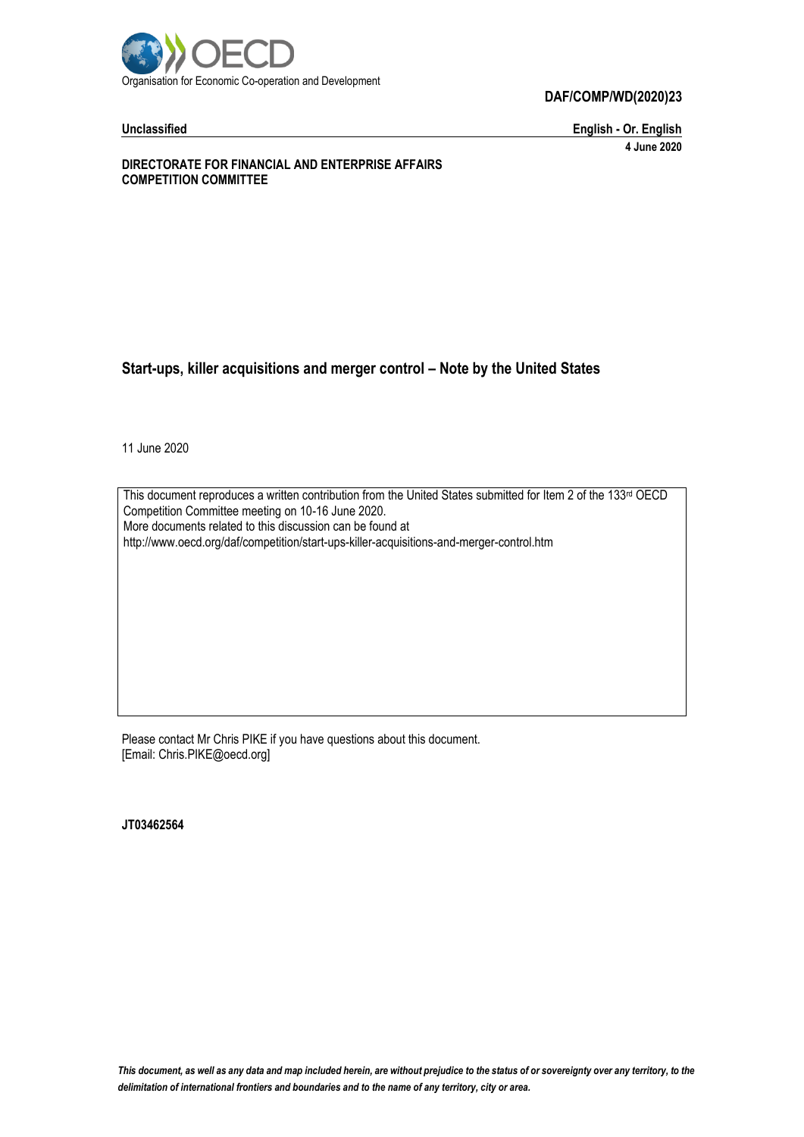

**DAF/COMP/WD(2020)23**

**Unclassified English - Or. English 4 June 2020**

**DIRECTORATE FOR FINANCIAL AND ENTERPRISE AFFAIRS COMPETITION COMMITTEE**

#### **Start-ups, killer acquisitions and merger control – Note by the United States**

11 June 2020

This document reproduces a written contribution from the United States submitted for Item 2 of the 133<sup>rd</sup> OECD Competition Committee meeting on 10-16 June 2020. More documents related to this discussion can be found at http://www.oecd.org/daf/competition/start-ups-killer-acquisitions-and-merger-control.htm

Please contact Mr Chris PIKE if you have questions about this document. [Email: Chris.PIKE@oecd.org]

**JT03462564**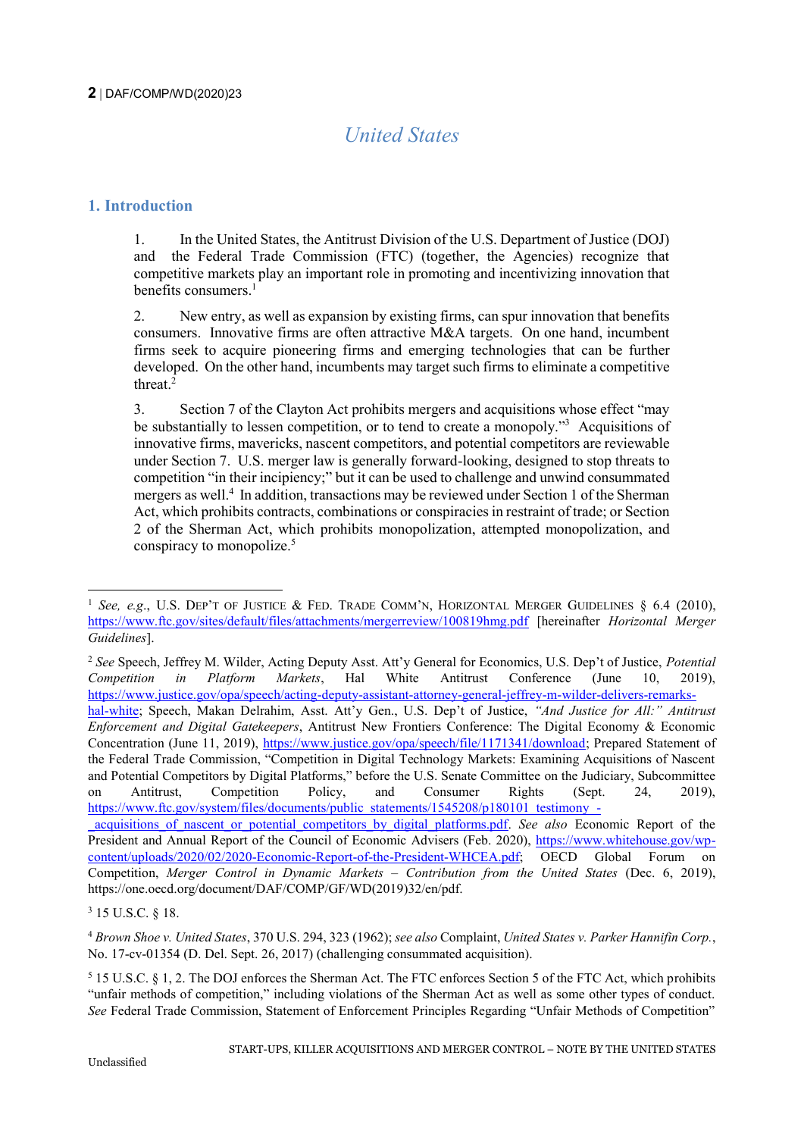# *United States*

### **1. Introduction**

1. In the United States, the Antitrust Division of the U.S. Department of Justice (DOJ) and the Federal Trade Commission (FTC) (together, the Agencies) recognize that competitive markets play an important role in promoting and incentivizing innovation that benefits consumers. 1

2. New entry, as well as expansion by existing firms, can spur innovation that benefits consumers. Innovative firms are often attractive M&A targets. On one hand, incumbent firms seek to acquire pioneering firms and emerging technologies that can be further developed. On the other hand, incumbents may target such firms to eliminate a competitive threat. $2$ 

3. Section 7 of the Clayton Act prohibits mergers and acquisitions whose effect "may be substantially to lessen competition, or to tend to create a monopoly."<sup>3</sup> Acquisitions of innovative firms, mavericks, nascent competitors, and potential competitors are reviewable under Section 7. U.S. merger law is generally forward-looking, designed to stop threats to competition "in their incipiency;" but it can be used to challenge and unwind consummated mergers as well.<sup>4</sup> In addition, transactions may be reviewed under Section 1 of the Sherman Act, which prohibits contracts, combinations or conspiracies in restraint of trade; or Section 2 of the Sherman Act, which prohibits monopolization, attempted monopolization, and conspiracy to monopolize.<sup>5</sup>

<sup>-</sup><sup>1</sup> *See, e.g.*, U.S. DEP'T OF JUSTICE & FED. TRADE COMM'N, HORIZONTAL MERGER GUIDELINES  $\delta$  6.4 (2010), <https://www.ftc.gov/sites/default/files/attachments/mergerreview/100819hmg.pdf> [hereinafter *Horizontal Merger Guidelines*].

<sup>2</sup> *See* Speech, Jeffrey M. Wilder, Acting Deputy Asst. Att'y General for Economics, U.S. Dep't of Justice, *Potential Competition in Platform Markets*, Hal White Antitrust Conference (June 10, 2019), [https://www.justice.gov/opa/speech/acting-deputy-assistant-attorney-general-jeffrey-m-wilder-delivers-remarks](https://www.justice.gov/opa/speech/acting-deputy-assistant-attorney-general-jeffrey-m-wilder-delivers-remarks-hal-white)[hal-white;](https://www.justice.gov/opa/speech/acting-deputy-assistant-attorney-general-jeffrey-m-wilder-delivers-remarks-hal-white) Speech, Makan Delrahim, Asst. Att'y Gen., U.S. Dep't of Justice, *"And Justice for All:" Antitrust Enforcement and Digital Gatekeepers*, Antitrust New Frontiers Conference: The Digital Economy & Economic Concentration (June 11, 2019), [https://www.justice.gov/opa/speech/file/1171341/download;](https://www.justice.gov/opa/speech/file/1171341/download) Prepared Statement of the Federal Trade Commission, "Competition in Digital Technology Markets: Examining Acquisitions of Nascent and Potential Competitors by Digital Platforms," before the U.S. Senate Committee on the Judiciary, Subcommittee on Antitrust, Competition Policy, and Consumer Rights (Sept. 24, 2019), [https://www.ftc.gov/system/files/documents/public\\_statements/1545208/p180101\\_testimony\\_-](https://www.ftc.gov/system/files/documents/public_statements/1545208/p180101_testimony_-_acquisitions_of_nascent_or_potential_competitors_by_digital_platforms.pdf)

acquisitions of nascent or potential competitors by digital platforms.pdf. See also Economic Report of the President and Annual Report of the Council of Economic Advisers (Feb. 2020), [https://www.whitehouse.gov/wp](https://www.whitehouse.gov/wp-content/uploads/2020/02/2020-Economic-Report-of-the-President-WHCEA.pdf)[content/uploads/2020/02/2020-Economic-Report-of-the-President-WHCEA.pdf;](https://www.whitehouse.gov/wp-content/uploads/2020/02/2020-Economic-Report-of-the-President-WHCEA.pdf) OECD Global Forum on Competition, *Merger Control in Dynamic Markets – Contribution from the United States* (Dec. 6, 2019), https://one.oecd.org/document/DAF/COMP/GF/WD(2019)32/en/pdf.

<sup>3</sup> 15 U.S.C. § 18.

<sup>4</sup> *Brown Shoe v. United States*, 370 U.S. 294, 323 (1962); *see also* Complaint, *United States v. Parker Hannifin Corp.*, No. 17-cv-01354 (D. Del. Sept. 26, 2017) (challenging consummated acquisition).

<sup>5</sup> 15 U.S.C. § 1, 2. The DOJ enforces the Sherman Act. The FTC enforces Section 5 of the FTC Act, which prohibits "unfair methods of competition," including violations of the Sherman Act as well as some other types of conduct. *See* Federal Trade Commission, Statement of Enforcement Principles Regarding "Unfair Methods of Competition"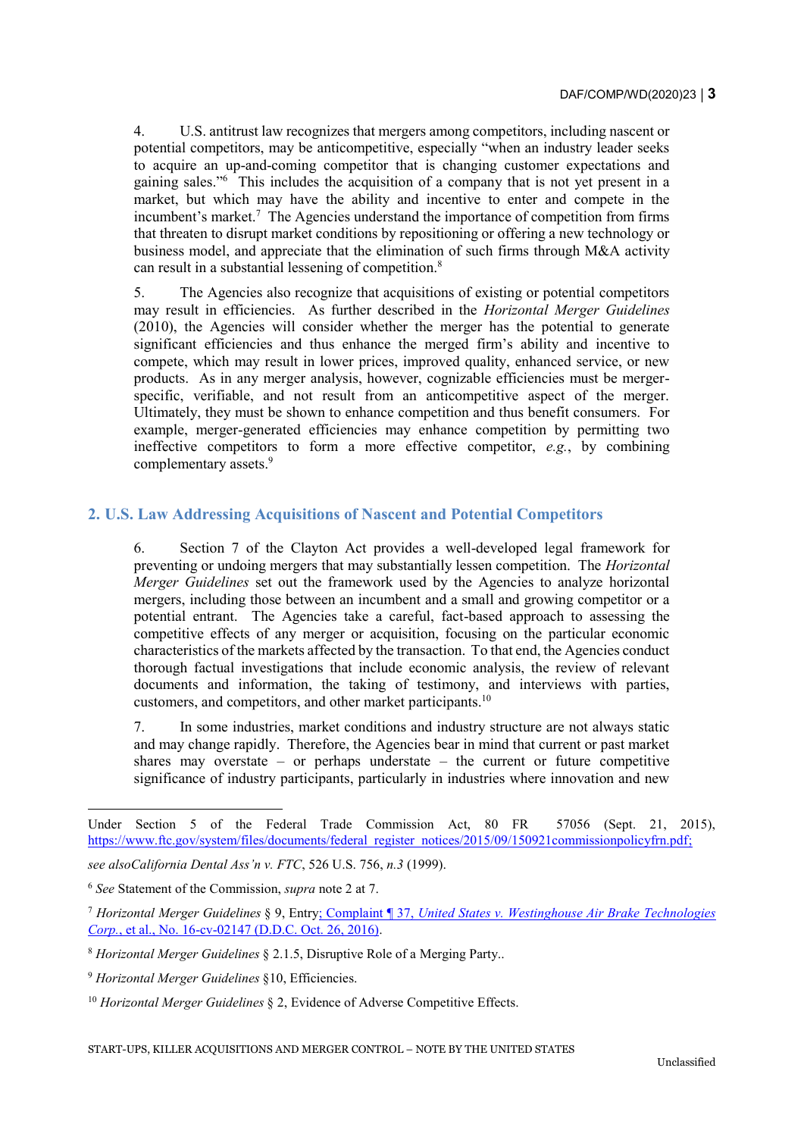4. U.S. antitrust law recognizes that mergers among competitors, including nascent or potential competitors, may be anticompetitive, especially "when an industry leader seeks to acquire an up-and-coming competitor that is changing customer expectations and gaining sales."<sup>6</sup> This includes the acquisition of a company that is not yet present in a market, but which may have the ability and incentive to enter and compete in the incumbent's market.<sup>7</sup> The Agencies understand the importance of competition from firms that threaten to disrupt market conditions by repositioning or offering a new technology or business model, and appreciate that the elimination of such firms through M&A activity can result in a substantial lessening of competition.<sup>8</sup>

5. The Agencies also recognize that acquisitions of existing or potential competitors may result in efficiencies. As further described in the *Horizontal Merger Guidelines*  (2010), the Agencies will consider whether the merger has the potential to generate significant efficiencies and thus enhance the merged firm's ability and incentive to compete, which may result in lower prices, improved quality, enhanced service, or new products. As in any merger analysis, however, cognizable efficiencies must be mergerspecific, verifiable, and not result from an anticompetitive aspect of the merger. Ultimately, they must be shown to enhance competition and thus benefit consumers. For example, merger-generated efficiencies may enhance competition by permitting two ineffective competitors to form a more effective competitor, *e.g.*, by combining complementary assets.<sup>9</sup>

# **2. U.S. Law Addressing Acquisitions of Nascent and Potential Competitors**

6. Section 7 of the Clayton Act provides a well-developed legal framework for preventing or undoing mergers that may substantially lessen competition. The *Horizontal Merger Guidelines* set out the framework used by the Agencies to analyze horizontal mergers, including those between an incumbent and a small and growing competitor or a potential entrant. The Agencies take a careful, fact-based approach to assessing the competitive effects of any merger or acquisition, focusing on the particular economic characteristics of the markets affected by the transaction. To that end, the Agencies conduct thorough factual investigations that include economic analysis, the review of relevant documents and information, the taking of testimony, and interviews with parties, customers, and competitors, and other market participants.<sup>10</sup>

7. In some industries, market conditions and industry structure are not always static and may change rapidly. Therefore, the Agencies bear in mind that current or past market shares may overstate – or perhaps understate – the current or future competitive significance of industry participants, particularly in industries where innovation and new

Under Section 5 of the Federal Trade Commission Act, 80 FR 57056 (Sept. 21, 2015), [https://www.ftc.gov/system/files/documents/federal\\_register\\_notices/2015/09/150921commissionpolicyfrn.pdf;](https://www.ftc.gov/system/files/documents/federal_register_notices/2015/09/150921commissionpolicyfrn.pdf)

*see alsoCalifornia Dental Ass'n v. FTC*, 526 U.S. 756, *n.3* (1999).

<sup>6</sup> *See* Statement of the Commission, *supra* note 2 at 7.

<sup>7</sup> *Horizontal Merger Guidelines* § 9, Entry; Complaint ¶ 37, *United States v. Westinghouse Air Brake Technologies Corp.*, et al., No. 16-cv-02147 (D.D.C. Oct. 26, 2016).

<sup>8</sup> *Horizontal Merger Guidelines* § 2.1.5, Disruptive Role of a Merging Party..

<sup>9</sup> *Horizontal Merger Guidelines* §10, Efficiencies.

<sup>&</sup>lt;sup>10</sup> *Horizontal Merger Guidelines* § 2, Evidence of Adverse Competitive Effects.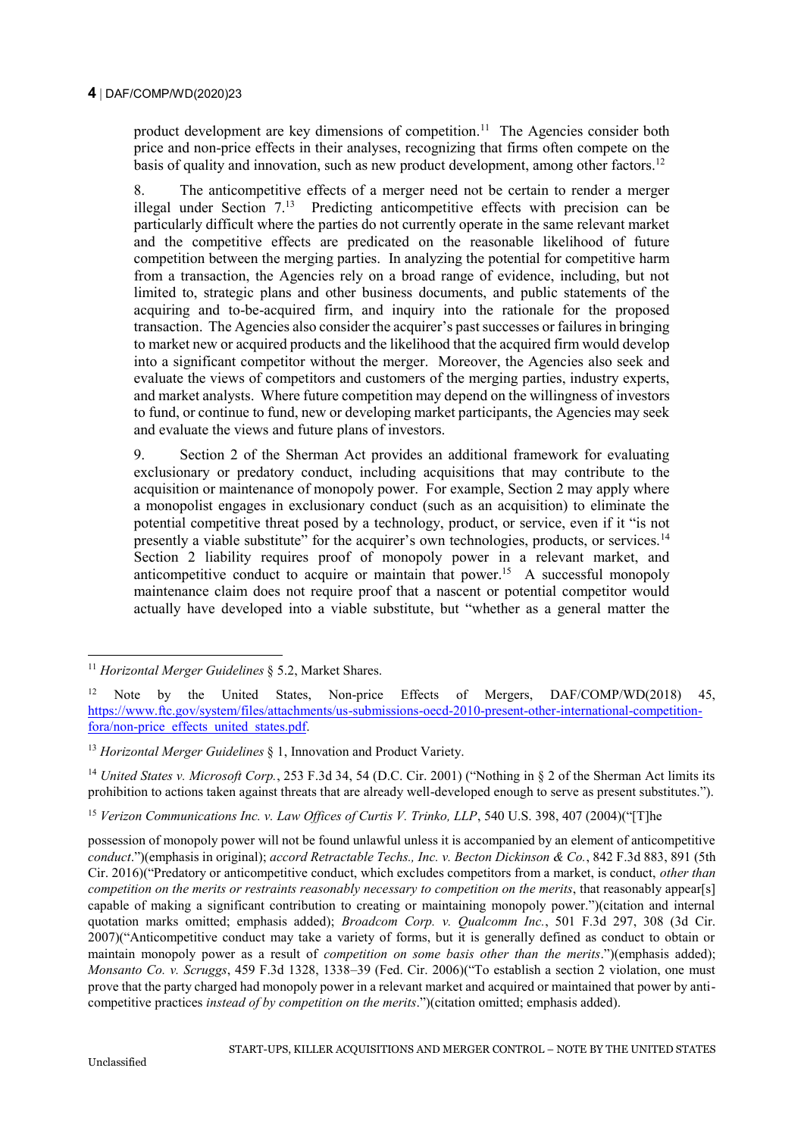product development are key dimensions of competition.<sup>11</sup> The Agencies consider both price and non-price effects in their analyses, recognizing that firms often compete on the basis of quality and innovation, such as new product development, among other factors.<sup>12</sup>

8. The anticompetitive effects of a merger need not be certain to render a merger illegal under Section  $7<sup>13</sup>$  Predicting anticompetitive effects with precision can be particularly difficult where the parties do not currently operate in the same relevant market and the competitive effects are predicated on the reasonable likelihood of future competition between the merging parties. In analyzing the potential for competitive harm from a transaction, the Agencies rely on a broad range of evidence, including, but not limited to, strategic plans and other business documents, and public statements of the acquiring and to-be-acquired firm, and inquiry into the rationale for the proposed transaction. The Agencies also consider the acquirer's past successes or failures in bringing to market new or acquired products and the likelihood that the acquired firm would develop into a significant competitor without the merger. Moreover, the Agencies also seek and evaluate the views of competitors and customers of the merging parties, industry experts, and market analysts. Where future competition may depend on the willingness of investors to fund, or continue to fund, new or developing market participants, the Agencies may seek and evaluate the views and future plans of investors.

9. Section 2 of the Sherman Act provides an additional framework for evaluating exclusionary or predatory conduct, including acquisitions that may contribute to the acquisition or maintenance of monopoly power. For example, Section 2 may apply where a monopolist engages in exclusionary conduct (such as an acquisition) to eliminate the potential competitive threat posed by a technology, product, or service, even if it "is not presently a viable substitute" for the acquirer's own technologies, products, or services.<sup>14</sup> Section 2 liability requires proof of monopoly power in a relevant market, and anticompetitive conduct to acquire or maintain that power.<sup>15</sup> A successful monopoly maintenance claim does not require proof that a nascent or potential competitor would actually have developed into a viable substitute, but "whether as a general matter the

<sup>14</sup> *United States v. Microsoft Corp.*, 253 F.3d 34, 54 (D.C. Cir. 2001) ("Nothing in § 2 of the Sherman Act limits its prohibition to actions taken against threats that are already well-developed enough to serve as present substitutes.").

<sup>15</sup> *Verizon Communications Inc. v. Law Offices of Curtis V. Trinko, LLP*, 540 U.S. 398, 407 (2004)("[T]he

possession of monopoly power will not be found unlawful unless it is accompanied by an element of anticompetitive *conduct*.")(emphasis in original); *accord Retractable Techs., Inc. v. Becton Dickinson & Co.*, 842 F.3d 883, 891 (5th Cir. 2016)("Predatory or anticompetitive conduct, which excludes competitors from a market, is conduct, *other than competition on the merits or restraints reasonably necessary to competition on the merits*, that reasonably appear[s] capable of making a significant contribution to creating or maintaining monopoly power.")(citation and internal quotation marks omitted; emphasis added); *Broadcom Corp. v. Qualcomm Inc.*, 501 F.3d 297, 308 (3d Cir. 2007)("Anticompetitive conduct may take a variety of forms, but it is generally defined as conduct to obtain or maintain monopoly power as a result of *competition on some basis other than the merits*.")(emphasis added); *Monsanto Co. v. Scruggs*, 459 F.3d 1328, 1338–39 (Fed. Cir. 2006)("To establish a section 2 violation, one must prove that the party charged had monopoly power in a relevant market and acquired or maintained that power by anticompetitive practices *instead of by competition on the merits*.")(citation omitted; emphasis added).

<sup>-</sup><sup>11</sup> *Horizontal Merger Guidelines* § 5.2, Market Shares.

<sup>12</sup> Note by the United States, Non-price Effects of Mergers, DAF/COMP/WD(2018) 45, [https://www.ftc.gov/system/files/attachments/us-submissions-oecd-2010-present-other-international-competition](https://www.ftc.gov/system/files/attachments/us-submissions-oecd-2010-present-other-international-competition-fora/non-price_effects_united_states.pdf)[fora/non-price\\_effects\\_united\\_states.pdf.](https://www.ftc.gov/system/files/attachments/us-submissions-oecd-2010-present-other-international-competition-fora/non-price_effects_united_states.pdf)

<sup>13</sup> *Horizontal Merger Guidelines* § 1, Innovation and Product Variety.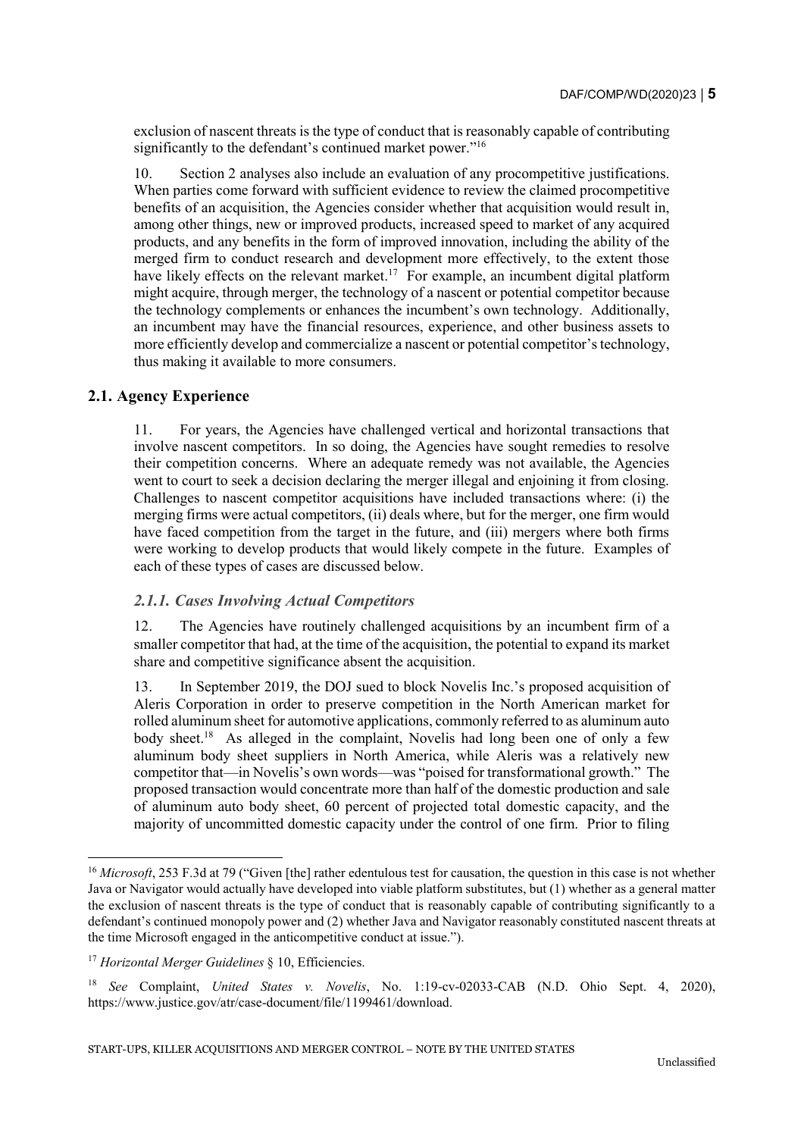exclusion of nascent threats is the type of conduct that is reasonably capable of contributing significantly to the defendant's continued market power."<sup>16</sup>

10. Section 2 analyses also include an evaluation of any procompetitive justifications. When parties come forward with sufficient evidence to review the claimed procompetitive benefits of an acquisition, the Agencies consider whether that acquisition would result in, among other things, new or improved products, increased speed to market of any acquired products, and any benefits in the form of improved innovation, including the ability of the merged firm to conduct research and development more effectively, to the extent those have likely effects on the relevant market.<sup>17</sup> For example, an incumbent digital platform might acquire, through merger, the technology of a nascent or potential competitor because the technology complements or enhances the incumbent's own technology. Additionally, an incumbent may have the financial resources, experience, and other business assets to more efficiently develop and commercialize a nascent or potential competitor's technology, thus making it available to more consumers.

#### **2.1. Agency Experience**

11. For years, the Agencies have challenged vertical and horizontal transactions that involve nascent competitors. In so doing, the Agencies have sought remedies to resolve their competition concerns. Where an adequate remedy was not available, the Agencies went to court to seek a decision declaring the merger illegal and enjoining it from closing. Challenges to nascent competitor acquisitions have included transactions where: (i) the merging firms were actual competitors, (ii) deals where, but for the merger, one firm would have faced competition from the target in the future, and (iii) mergers where both firms were working to develop products that would likely compete in the future. Examples of each of these types of cases are discussed below.

#### *2.1.1. Cases Involving Actual Competitors*

12. The Agencies have routinely challenged acquisitions by an incumbent firm of a smaller competitor that had, at the time of the acquisition, the potential to expand its market share and competitive significance absent the acquisition.

13. In September 2019, the DOJ sued to block Novelis Inc.'s proposed acquisition of Aleris Corporation in order to preserve competition in the North American market for rolled aluminum sheet for automotive applications, commonly referred to as aluminum auto body sheet.<sup>18</sup> As alleged in the complaint, Novelis had long been one of only a few aluminum body sheet suppliers in North America, while Aleris was a relatively new competitor that—in Novelis's own words—was "poised for transformational growth." The proposed transaction would concentrate more than half of the domestic production and sale of aluminum auto body sheet, 60 percent of projected total domestic capacity, and the majority of uncommitted domestic capacity under the control of one firm. Prior to filing

<sup>&</sup>lt;sup>16</sup> *Microsoft*, 253 F.3d at 79 ("Given [the] rather edentulous test for causation, the question in this case is not whether Java or Navigator would actually have developed into viable platform substitutes, but (1) whether as a general matter the exclusion of nascent threats is the type of conduct that is reasonably capable of contributing significantly to a defendant's continued monopoly power and (2) whether Java and Navigator reasonably constituted nascent threats at the time Microsoft engaged in the anticompetitive conduct at issue.").

<sup>17</sup> *Horizontal Merger Guidelines* § 10, Efficiencies.

<sup>18</sup> *See* Complaint, *United States v. Novelis*, No. 1:19-cv-02033-CAB (N.D. Ohio Sept. 4, 2020), https://www.justice.gov/atr/case-document/file/1199461/download.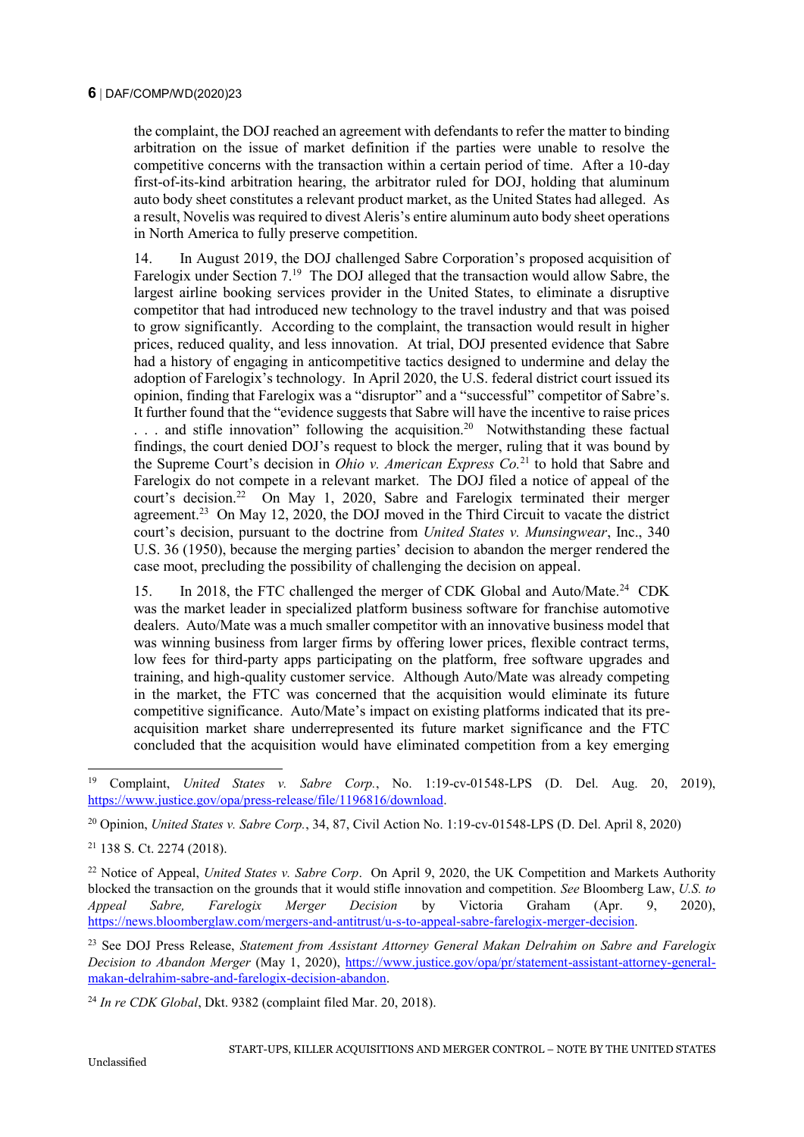the complaint, the DOJ reached an agreement with defendants to refer the matter to binding arbitration on the issue of market definition if the parties were unable to resolve the competitive concerns with the transaction within a certain period of time. After a 10-day first-of-its-kind arbitration hearing, the arbitrator ruled for DOJ, holding that aluminum auto body sheet constitutes a relevant product market, as the United States had alleged. As a result, Novelis was required to divest Aleris's entire aluminum auto body sheet operations in North America to fully preserve competition.

14. In August 2019, the DOJ challenged Sabre Corporation's proposed acquisition of Farelogix under Section 7.<sup>19</sup> The DOJ alleged that the transaction would allow Sabre, the largest airline booking services provider in the United States, to eliminate a disruptive competitor that had introduced new technology to the travel industry and that was poised to grow significantly. According to the complaint, the transaction would result in higher prices, reduced quality, and less innovation. At trial, DOJ presented evidence that Sabre had a history of engaging in anticompetitive tactics designed to undermine and delay the adoption of Farelogix's technology. In April 2020, the U.S. federal district court issued its opinion, finding that Farelogix was a "disruptor" and a "successful" competitor of Sabre's. It further found that the "evidence suggests that Sabre will have the incentive to raise prices ... and stifle innovation" following the acquisition.<sup>20</sup> Notwithstanding these factual findings, the court denied DOJ's request to block the merger, ruling that it was bound by the Supreme Court's decision in *Ohio v. American Express Co.*<sup>21</sup> to hold that Sabre and Farelogix do not compete in a relevant market. The DOJ filed a notice of appeal of the court's decision.<sup>22</sup> On May 1, 2020, Sabre and Farelogix terminated their merger agreement.<sup>23</sup> On May 12, 2020, the DOJ moved in the Third Circuit to vacate the district court's decision, pursuant to the doctrine from *United States v. Munsingwear*, Inc., 340 U.S. 36 (1950), because the merging parties' decision to abandon the merger rendered the case moot, precluding the possibility of challenging the decision on appeal.

15. In 2018, the FTC challenged the merger of CDK Global and Auto/Mate.<sup>24</sup> CDK was the market leader in specialized platform business software for franchise automotive dealers. Auto/Mate was a much smaller competitor with an innovative business model that was winning business from larger firms by offering lower prices, flexible contract terms, low fees for third-party apps participating on the platform, free software upgrades and training, and high-quality customer service. Although Auto/Mate was already competing in the market, the FTC was concerned that the acquisition would eliminate its future competitive significance. Auto/Mate's impact on existing platforms indicated that its preacquisition market share underrepresented its future market significance and the FTC concluded that the acquisition would have eliminated competition from a key emerging

<sup>19</sup> Complaint, *United States v. Sabre Corp.*, No. 1:19-cv-01548-LPS (D. Del. Aug. 20, 2019), [https://www.justice.gov/opa/press-release/file/1196816/download.](https://www.justice.gov/opa/press-release/file/1196816/download)

<sup>20</sup> Opinion, *United States v. Sabre Corp.*, 34, 87, Civil Action No. 1:19-cv-01548-LPS (D. Del. April 8, 2020)

<sup>21</sup> 138 S. Ct. 2274 (2018).

<sup>&</sup>lt;sup>22</sup> Notice of Appeal, *United States v. Sabre Corp.* On April 9, 2020, the UK Competition and Markets Authority blocked the transaction on the grounds that it would stifle innovation and competition. *See* Bloomberg Law, *U.S. to Appeal Sabre, Farelogix Merger Decision* by Victoria Graham (Apr. 9, 2020), [https://news.bloomberglaw.com/mergers-and-antitrust/u-s-to-appeal-sabre-farelogix-merger-decision.](https://news.bloomberglaw.com/mergers-and-antitrust/u-s-to-appeal-sabre-farelogix-merger-decision)

<sup>23</sup> See DOJ Press Release, *Statement from Assistant Attorney General Makan Delrahim on Sabre and Farelogix Decision to Abandon Merger* (May 1, 2020), [https://www.justice.gov/opa/pr/statement-assistant-attorney-general](https://www.justice.gov/opa/pr/statement-assistant-attorney-general-makan-delrahim-sabre-and-farelogix-decision-abandon)[makan-delrahim-sabre-and-farelogix-decision-abandon.](https://www.justice.gov/opa/pr/statement-assistant-attorney-general-makan-delrahim-sabre-and-farelogix-decision-abandon)

<sup>24</sup> *In re CDK Global*, Dkt. 9382 (complaint filed Mar. 20, 2018).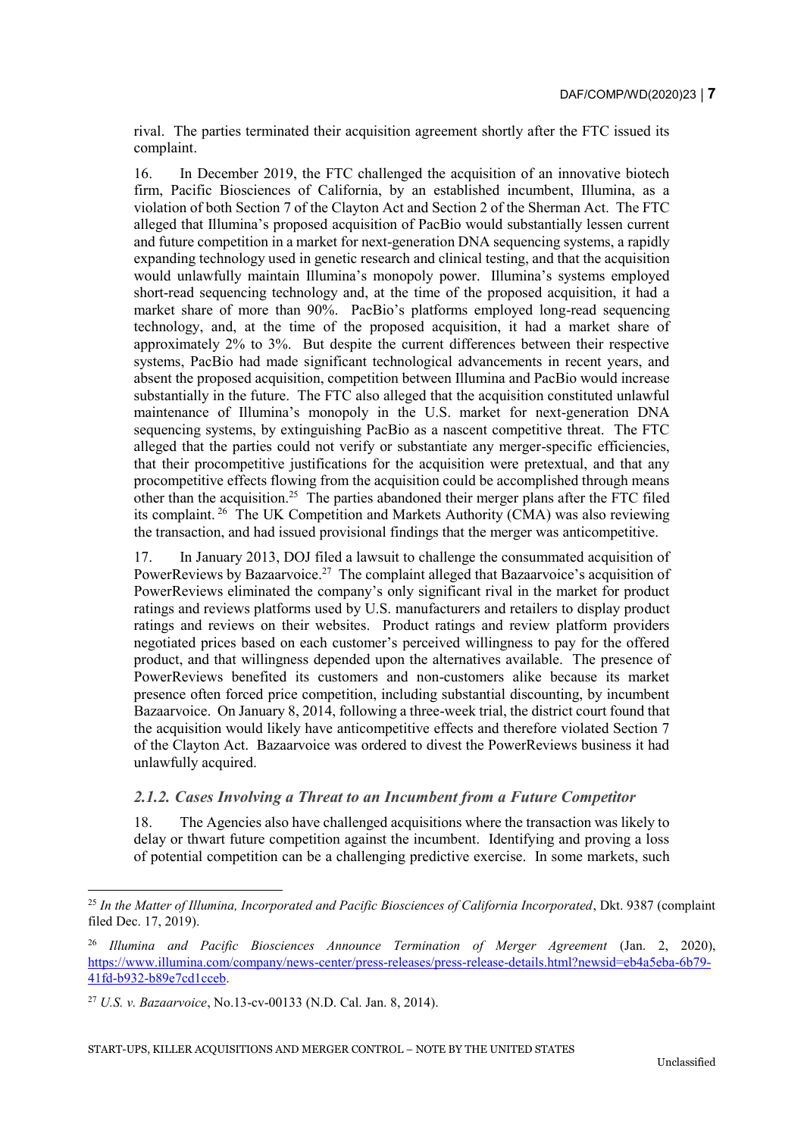rival. The parties terminated their acquisition agreement shortly after the FTC issued its complaint.

16. In December 2019, the FTC challenged the acquisition of an innovative biotech firm, Pacific Biosciences of California, by an established incumbent, Illumina, as a violation of both Section 7 of the Clayton Act and Section 2 of the Sherman Act. The FTC alleged that Illumina's proposed acquisition of PacBio would substantially lessen current and future competition in a market for next-generation DNA sequencing systems, a rapidly expanding technology used in genetic research and clinical testing, and that the acquisition would unlawfully maintain Illumina's monopoly power. Illumina's systems employed short-read sequencing technology and, at the time of the proposed acquisition, it had a market share of more than 90%. PacBio's platforms employed long-read sequencing technology, and, at the time of the proposed acquisition, it had a market share of approximately 2% to 3%. But despite the current differences between their respective systems, PacBio had made significant technological advancements in recent years, and absent the proposed acquisition, competition between Illumina and PacBio would increase substantially in the future. The FTC also alleged that the acquisition constituted unlawful maintenance of Illumina's monopoly in the U.S. market for next-generation DNA sequencing systems, by extinguishing PacBio as a nascent competitive threat. The FTC alleged that the parties could not verify or substantiate any merger-specific efficiencies, that their procompetitive justifications for the acquisition were pretextual, and that any procompetitive effects flowing from the acquisition could be accomplished through means other than the acquisition.<sup>25</sup> The parties abandoned their merger plans after the FTC filed its complaint. <sup>26</sup> The UK Competition and Markets Authority (CMA) was also reviewing the transaction, and had issued provisional findings that the merger was anticompetitive.

17. In January 2013, DOJ filed a lawsuit to challenge the consummated acquisition of PowerReviews by Bazaarvoice.<sup>27</sup> The complaint alleged that Bazaarvoice's acquisition of PowerReviews eliminated the company's only significant rival in the market for product ratings and reviews platforms used by U.S. manufacturers and retailers to display product ratings and reviews on their websites. Product ratings and review platform providers negotiated prices based on each customer's perceived willingness to pay for the offered product, and that willingness depended upon the alternatives available. The presence of PowerReviews benefited its customers and non-customers alike because its market presence often forced price competition, including substantial discounting, by incumbent Bazaarvoice. On January 8, 2014, following a three-week trial, the district court found that the acquisition would likely have anticompetitive effects and therefore violated Section 7 of the Clayton Act. Bazaarvoice was ordered to divest the PowerReviews business it had unlawfully acquired.

#### *2.1.2. Cases Involving a Threat to an Incumbent from a Future Competitor*

18. The Agencies also have challenged acquisitions where the transaction was likely to delay or thwart future competition against the incumbent. Identifying and proving a loss of potential competition can be a challenging predictive exercise. In some markets, such

<sup>25</sup> *In the Matter of Illumina, Incorporated and Pacific Biosciences of California Incorporated*, Dkt. 9387 (complaint filed Dec. 17, 2019).

<sup>&</sup>lt;sup>26</sup> Illumina and Pacific Biosciences Announce Termination of Merger Agreement (Jan. 2, 2020), [https://www.illumina.com/company/news-center/press-releases/press-release-details.html?newsid=eb4a5eba-6b79-](https://www.illumina.com/company/news-center/press-releases/press-release-details.html?newsid=eb4a5eba-6b79-41fd-b932-b89e7cd1cceb) [41fd-b932-b89e7cd1cceb.](https://www.illumina.com/company/news-center/press-releases/press-release-details.html?newsid=eb4a5eba-6b79-41fd-b932-b89e7cd1cceb)

<sup>27</sup> *U.S. v. Bazaarvoice*, No.13-cv-00133 (N.D. Cal. Jan. 8, 2014).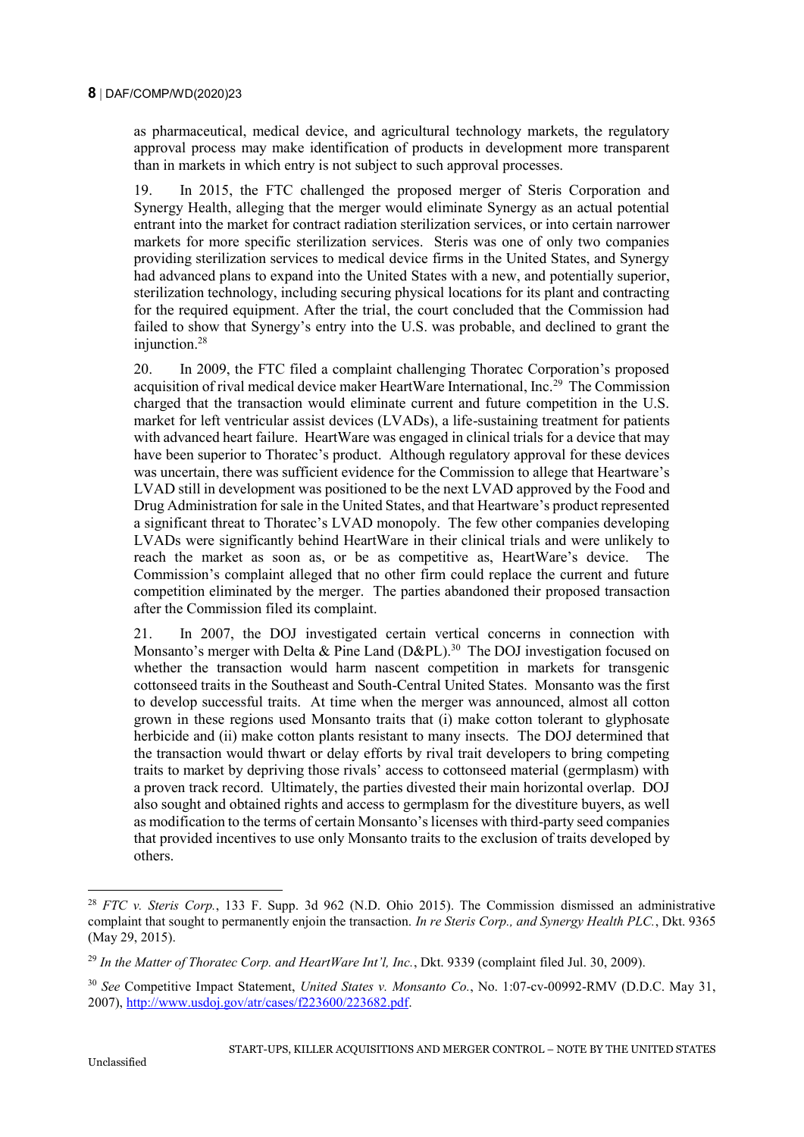as pharmaceutical, medical device, and agricultural technology markets, the regulatory approval process may make identification of products in development more transparent than in markets in which entry is not subject to such approval processes.

19. In 2015, the FTC challenged the proposed merger of Steris Corporation and Synergy Health, alleging that the merger would eliminate Synergy as an actual potential entrant into the market for contract radiation sterilization services, or into certain narrower markets for more specific sterilization services. Steris was one of only two companies providing sterilization services to medical device firms in the United States, and Synergy had advanced plans to expand into the United States with a new, and potentially superior, sterilization technology, including securing physical locations for its plant and contracting for the required equipment. After the trial, the court concluded that the Commission had failed to show that Synergy's entry into the U.S. was probable, and declined to grant the injunction.<sup>28</sup>

20. In 2009, the FTC filed a complaint challenging Thoratec Corporation's proposed acquisition of rival medical device maker HeartWare International, Inc.<sup>29</sup> The Commission charged that the transaction would eliminate current and future competition in the U.S. market for left ventricular assist devices (LVADs), a life-sustaining treatment for patients with advanced heart failure. HeartWare was engaged in clinical trials for a device that may have been superior to Thoratec's product. Although regulatory approval for these devices was uncertain, there was sufficient evidence for the Commission to allege that Heartware's LVAD still in development was positioned to be the next LVAD approved by the Food and Drug Administration for sale in the United States, and that Heartware's product represented a significant threat to Thoratec's LVAD monopoly. The few other companies developing LVADs were significantly behind HeartWare in their clinical trials and were unlikely to reach the market as soon as, or be as competitive as, HeartWare's device. The Commission's complaint alleged that no other firm could replace the current and future competition eliminated by the merger. The parties abandoned their proposed transaction after the Commission filed its complaint.

21. In 2007, the DOJ investigated certain vertical concerns in connection with Monsanto's merger with Delta & Pine Land (D&PL).<sup>30</sup> The DOJ investigation focused on whether the transaction would harm nascent competition in markets for transgenic cottonseed traits in the Southeast and South-Central United States. Monsanto was the first to develop successful traits. At time when the merger was announced, almost all cotton grown in these regions used Monsanto traits that (i) make cotton tolerant to glyphosate herbicide and (ii) make cotton plants resistant to many insects. The DOJ determined that the transaction would thwart or delay efforts by rival trait developers to bring competing traits to market by depriving those rivals' access to cottonseed material (germplasm) with a proven track record. Ultimately, the parties divested their main horizontal overlap. DOJ also sought and obtained rights and access to germplasm for the divestiture buyers, as well as modification to the terms of certain Monsanto's licenses with third-party seed companies that provided incentives to use only Monsanto traits to the exclusion of traits developed by others.

<sup>28</sup> *FTC v. Steris Corp.*, 133 F. Supp. 3d 962 (N.D. Ohio 2015). The Commission dismissed an administrative complaint that sought to permanently enjoin the transaction. *In re Steris Corp., and Synergy Health PLC.*, Dkt. 9365 (May 29, 2015).

<sup>29</sup> *In the Matter of Thoratec Corp. and HeartWare Int'l, Inc.*, Dkt. 9339 (complaint filed Jul. 30, 2009).

<sup>30</sup> *See* Competitive Impact Statement, *United States v. Monsanto Co.*, No. 1:07-cv-00992-RMV (D.D.C. May 31, 2007)[, http://www.usdoj.gov/atr/cases/f223600/223682.pdf.](http://www.usdoj.gov/atr/cases/f223600/223682.pdf)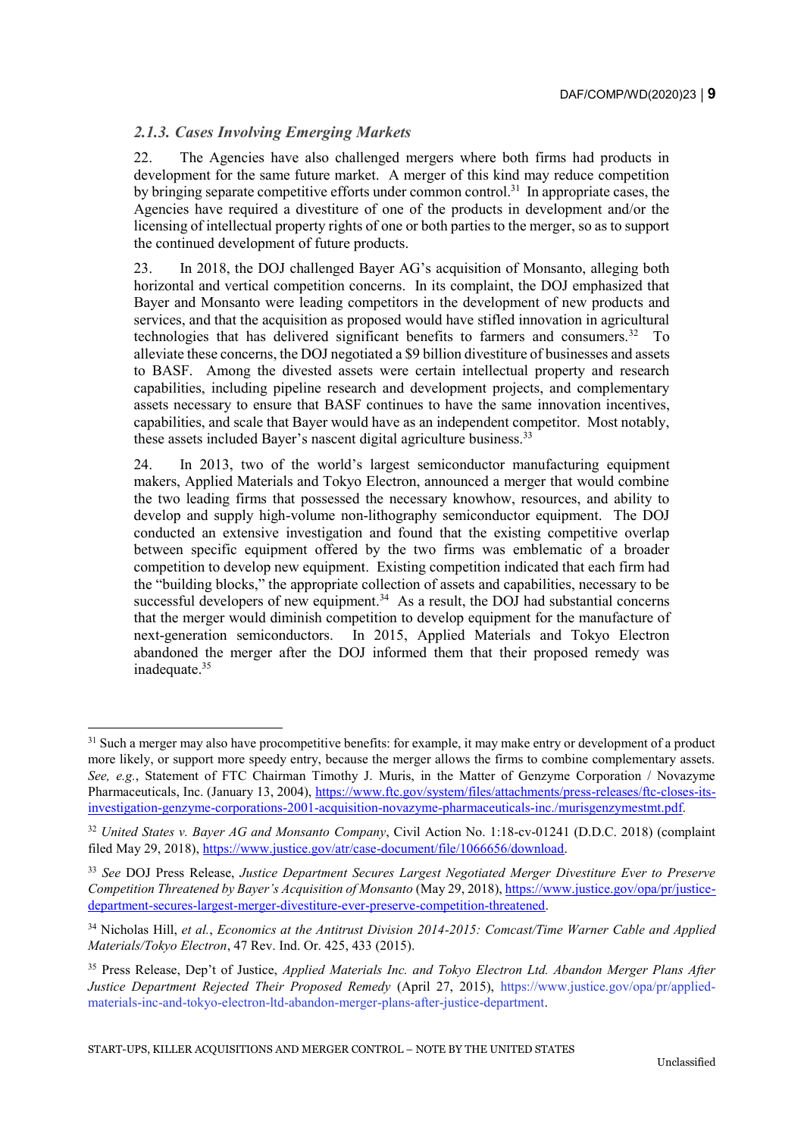## *2.1.3. Cases Involving Emerging Markets*

-

22. The Agencies have also challenged mergers where both firms had products in development for the same future market. A merger of this kind may reduce competition by bringing separate competitive efforts under common control.<sup>31</sup> In appropriate cases, the Agencies have required a divestiture of one of the products in development and/or the licensing of intellectual property rights of one or both parties to the merger, so as to support the continued development of future products.

23. In 2018, the DOJ challenged Bayer AG's acquisition of Monsanto, alleging both horizontal and vertical competition concerns. In its complaint, the DOJ emphasized that Bayer and Monsanto were leading competitors in the development of new products and services, and that the acquisition as proposed would have stifled innovation in agricultural technologies that has delivered significant benefits to farmers and consumers.<sup>32</sup> To alleviate these concerns, the DOJ negotiated a \$9 billion divestiture of businesses and assets to BASF. Among the divested assets were certain intellectual property and research capabilities, including pipeline research and development projects, and complementary assets necessary to ensure that BASF continues to have the same innovation incentives, capabilities, and scale that Bayer would have as an independent competitor. Most notably, these assets included Bayer's nascent digital agriculture business.<sup>33</sup>

24. In 2013, two of the world's largest semiconductor manufacturing equipment makers, Applied Materials and Tokyo Electron, announced a merger that would combine the two leading firms that possessed the necessary knowhow, resources, and ability to develop and supply high-volume non-lithography semiconductor equipment. The DOJ conducted an extensive investigation and found that the existing competitive overlap between specific equipment offered by the two firms was emblematic of a broader competition to develop new equipment. Existing competition indicated that each firm had the "building blocks," the appropriate collection of assets and capabilities, necessary to be successful developers of new equipment.<sup>34</sup> As a result, the DOJ had substantial concerns that the merger would diminish competition to develop equipment for the manufacture of next-generation semiconductors. In 2015, Applied Materials and Tokyo Electron abandoned the merger after the DOJ informed them that their proposed remedy was inadequate.<sup>35</sup>

<sup>&</sup>lt;sup>31</sup> Such a merger may also have procompetitive benefits: for example, it may make entry or development of a product more likely, or support more speedy entry, because the merger allows the firms to combine complementary assets. *See, e.g.*, Statement of FTC Chairman Timothy J. Muris, in the Matter of Genzyme Corporation / Novazyme Pharmaceuticals, Inc. (January 13, 2004), [https://www.ftc.gov/system/files/attachments/press-releases/ftc-closes-its](https://www.ftc.gov/system/files/attachments/press-releases/ftc-closes-its-investigation-genzyme-corporations-2001-acquisition-novazyme-pharmaceuticals-inc./murisgenzymestmt.pdf)[investigation-genzyme-corporations-2001-acquisition-novazyme-pharmaceuticals-inc./murisgenzymestmt.pdf.](https://www.ftc.gov/system/files/attachments/press-releases/ftc-closes-its-investigation-genzyme-corporations-2001-acquisition-novazyme-pharmaceuticals-inc./murisgenzymestmt.pdf)

<sup>32</sup> *United States v. Bayer AG and Monsanto Company*, Civil Action No. 1:18-cv-01241 (D.D.C. 2018) (complaint filed May 29, 2018), [https://www.justice.gov/atr/case-document/file/1066656/download.](https://www.justice.gov/atr/case-document/file/1066656/download)

<sup>33</sup> *See* DOJ Press Release, *Justice Department Secures Largest Negotiated Merger Divestiture Ever to Preserve Competition Threatened by Bayer's Acquisition of Monsanto* (May 29, 2018)[, https://www.justice.gov/opa/pr/justice](https://www.justice.gov/opa/pr/justice-department-secures-largest-merger-divestiture-ever-preserve-competition-threatened)[department-secures-largest-merger-divestiture-ever-preserve-competition-threatened.](https://www.justice.gov/opa/pr/justice-department-secures-largest-merger-divestiture-ever-preserve-competition-threatened)

<sup>34</sup> Nicholas Hill, *et al.*, *Economics at the Antitrust Division 2014-2015: Comcast/Time Warner Cable and Applied Materials/Tokyo Electron*, 47 Rev. Ind. Or. 425, 433 (2015).

<sup>35</sup> Press Release, Dep't of Justice, *Applied Materials Inc. and Tokyo Electron Ltd. Abandon Merger Plans After Justice Department Rejected Their Proposed Remedy* (April 27, 2015), https://www.justice.gov/opa/pr/appliedmaterials-inc-and-tokyo-electron-ltd-abandon-merger-plans-after-justice-department.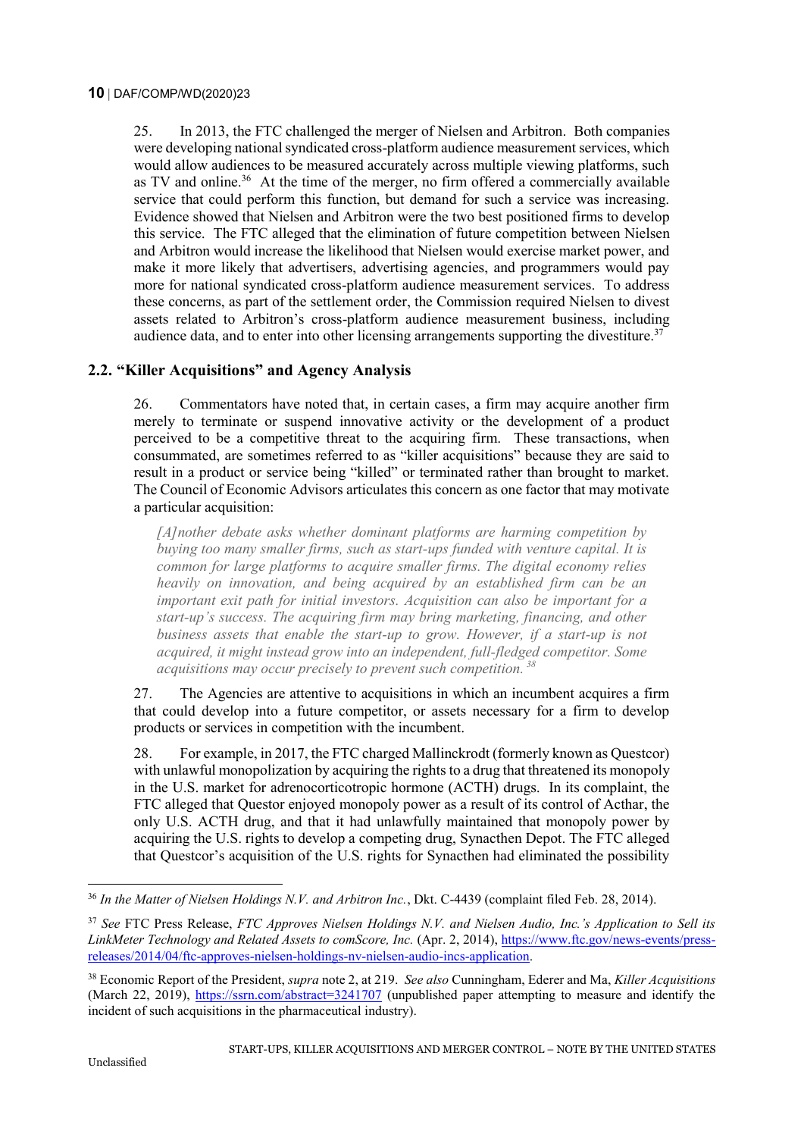25. In 2013, the FTC challenged the merger of Nielsen and Arbitron. Both companies were developing national syndicated cross-platform audience measurement services, which would allow audiences to be measured accurately across multiple viewing platforms, such as TV and online.<sup>36</sup> At the time of the merger, no firm offered a commercially available service that could perform this function, but demand for such a service was increasing. Evidence showed that Nielsen and Arbitron were the two best positioned firms to develop this service. The FTC alleged that the elimination of future competition between Nielsen and Arbitron would increase the likelihood that Nielsen would exercise market power, and make it more likely that advertisers, advertising agencies, and programmers would pay more for national syndicated cross-platform audience measurement services. To address these concerns, as part of the settlement order, the Commission required Nielsen to divest assets related to Arbitron's cross-platform audience measurement business, including audience data, and to enter into other licensing arrangements supporting the divestiture.<sup>37</sup>

### **2.2. "Killer Acquisitions" and Agency Analysis**

26. Commentators have noted that, in certain cases, a firm may acquire another firm merely to terminate or suspend innovative activity or the development of a product perceived to be a competitive threat to the acquiring firm. These transactions, when consummated, are sometimes referred to as "killer acquisitions" because they are said to result in a product or service being "killed" or terminated rather than brought to market. The Council of Economic Advisors articulates this concern as one factor that may motivate a particular acquisition:

*[A]nother debate asks whether dominant platforms are harming competition by buying too many smaller firms, such as start-ups funded with venture capital. It is common for large platforms to acquire smaller firms. The digital economy relies heavily on innovation, and being acquired by an established firm can be an important exit path for initial investors. Acquisition can also be important for a start-up's success. The acquiring firm may bring marketing, financing, and other business assets that enable the start-up to grow. However, if a start-up is not acquired, it might instead grow into an independent, full-fledged competitor. Some acquisitions may occur precisely to prevent such competition. <sup>38</sup>*

27. The Agencies are attentive to acquisitions in which an incumbent acquires a firm that could develop into a future competitor, or assets necessary for a firm to develop products or services in competition with the incumbent.

28. For example, in 2017, the FTC charged Mallinckrodt (formerly known as Questcor) with unlawful monopolization by acquiring the rights to a drug that threatened its monopoly in the U.S. market for adrenocorticotropic hormone (ACTH) drugs. In its complaint, the FTC alleged that Questor enjoyed monopoly power as a result of its control of Acthar, the only U.S. ACTH drug, and that it had unlawfully maintained that monopoly power by acquiring the U.S. rights to develop a competing drug, Synacthen Depot. The FTC alleged that Questcor's acquisition of the U.S. rights for Synacthen had eliminated the possibility

<sup>36</sup> *In the Matter of Nielsen Holdings N.V. and Arbitron Inc.*, Dkt. C-4439 (complaint filed Feb. 28, 2014).

<sup>37</sup> *See* FTC Press Release, *FTC Approves Nielsen Holdings N.V. and Nielsen Audio, Inc.'s Application to Sell its LinkMeter Technology and Related Assets to comScore, Inc.* (Apr. 2, 2014), [https://www.ftc.gov/news-events/press](https://www.ftc.gov/news-events/press-releases/2014/04/ftc-approves-nielsen-holdings-nv-nielsen-audio-incs-application)[releases/2014/04/ftc-approves-nielsen-holdings-nv-nielsen-audio-incs-application.](https://www.ftc.gov/news-events/press-releases/2014/04/ftc-approves-nielsen-holdings-nv-nielsen-audio-incs-application) 

<sup>38</sup> Economic Report of the President, *supra* note 2, at 219. *See also* Cunningham, Ederer and Ma, *Killer Acquisitions* (March 22, 2019),<https://ssrn.com/abstract=3241707> (unpublished paper attempting to measure and identify the incident of such acquisitions in the pharmaceutical industry).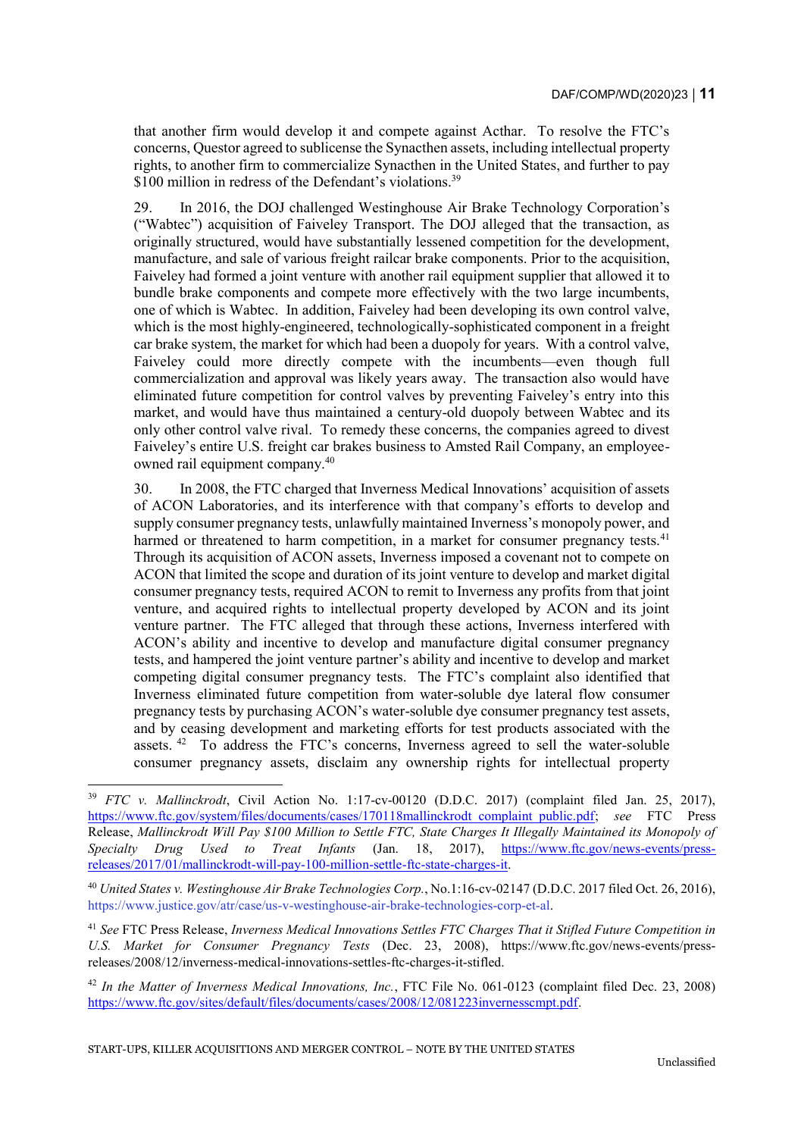that another firm would develop it and compete against Acthar. To resolve the FTC's concerns, Questor agreed to sublicense the Synacthen assets, including intellectual property rights, to another firm to commercialize Synacthen in the United States, and further to pay \$100 million in redress of the Defendant's violations.<sup>39</sup>

29. In 2016, the DOJ challenged Westinghouse Air Brake Technology Corporation's ("Wabtec") acquisition of Faiveley Transport. The DOJ alleged that the transaction, as originally structured, would have substantially lessened competition for the development, manufacture, and sale of various freight railcar brake components. Prior to the acquisition, Faiveley had formed a joint venture with another rail equipment supplier that allowed it to bundle brake components and compete more effectively with the two large incumbents, one of which is Wabtec. In addition, Faiveley had been developing its own control valve, which is the most highly-engineered, technologically-sophisticated component in a freight car brake system, the market for which had been a duopoly for years. With a control valve, Faiveley could more directly compete with the incumbents—even though full commercialization and approval was likely years away. The transaction also would have eliminated future competition for control valves by preventing Faiveley's entry into this market, and would have thus maintained a century-old duopoly between Wabtec and its only other control valve rival. To remedy these concerns, the companies agreed to divest Faiveley's entire U.S. freight car brakes business to Amsted Rail Company, an employeeowned rail equipment company.<sup>40</sup>

30. In 2008, the FTC charged that Inverness Medical Innovations' acquisition of assets of ACON Laboratories, and its interference with that company's efforts to develop and supply consumer pregnancy tests, unlawfully maintained Inverness's monopoly power, and harmed or threatened to harm competition, in a market for consumer pregnancy tests.<sup>41</sup> Through its acquisition of ACON assets, Inverness imposed a covenant not to compete on ACON that limited the scope and duration of its joint venture to develop and market digital consumer pregnancy tests, required ACON to remit to Inverness any profits from that joint venture, and acquired rights to intellectual property developed by ACON and its joint venture partner. The FTC alleged that through these actions, Inverness interfered with ACON's ability and incentive to develop and manufacture digital consumer pregnancy tests, and hampered the joint venture partner's ability and incentive to develop and market competing digital consumer pregnancy tests. The FTC's complaint also identified that Inverness eliminated future competition from water-soluble dye lateral flow consumer pregnancy tests by purchasing ACON's water-soluble dye consumer pregnancy test assets, and by ceasing development and marketing efforts for test products associated with the assets.<sup>42</sup> To address the FTC's concerns, Inverness agreed to sell the water-soluble consumer pregnancy assets, disclaim any ownership rights for intellectual property

<sup>39</sup> *FTC v. Mallinckrodt*, Civil Action No. 1:17-cv-00120 (D.D.C. 2017) (complaint filed Jan. 25, 2017), [https://www.ftc.gov/system/files/documents/cases/170118mallinckrodt\\_complaint\\_public.pdf;](https://www.ftc.gov/system/files/documents/cases/170118mallinckrodt_complaint_public.pdf) *see* FTC Press Release, *Mallinckrodt Will Pay \$100 Million to Settle FTC, State Charges It Illegally Maintained its Monopoly of Specialty Drug Used to Treat Infants* (Jan. 18, 2017), [https://www.ftc.gov/news-events/press](https://www.ftc.gov/news-events/press-releases/2017/01/mallinckrodt-will-pay-100-million-settle-ftc-state-charges-it)[releases/2017/01/mallinckrodt-will-pay-100-million-settle-ftc-state-charges-it.](https://www.ftc.gov/news-events/press-releases/2017/01/mallinckrodt-will-pay-100-million-settle-ftc-state-charges-it)

<sup>40</sup> *United States v. Westinghouse Air Brake Technologies Corp.*, No.1:16-cv-02147 (D.D.C. 2017 filed Oct. 26, 2016), https://www.justice.gov/atr/case/us-v-westinghouse-air-brake-technologies-corp-et-al.

<sup>41</sup> *See* FTC Press Release, *Inverness Medical Innovations Settles FTC Charges That it Stifled Future Competition in U.S. Market for Consumer Pregnancy Tests* (Dec. 23, 2008), https://www.ftc.gov/news-events/pressreleases/2008/12/inverness-medical-innovations-settles-ftc-charges-it-stifled.

<sup>42</sup> *In the Matter of Inverness Medical Innovations, Inc.*, FTC File No. 061-0123 (complaint filed Dec. 23, 2008) [https://www.ftc.gov/sites/default/files/documents/cases/2008/12/081223invernesscmpt.pdf.](https://www.ftc.gov/sites/default/files/documents/cases/2008/12/081223invernesscmpt.pdf)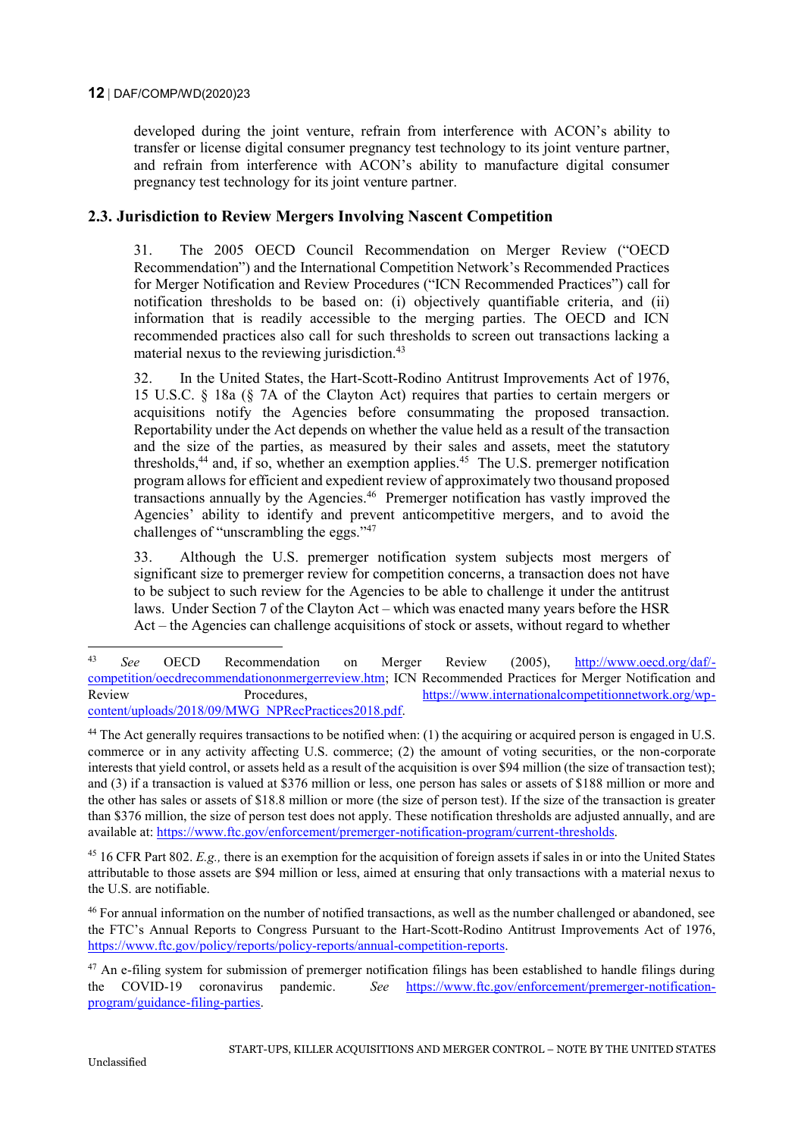#### **12** DAF/COMP/WD(2020)23

developed during the joint venture, refrain from interference with ACON's ability to transfer or license digital consumer pregnancy test technology to its joint venture partner, and refrain from interference with ACON's ability to manufacture digital consumer pregnancy test technology for its joint venture partner.

### **2.3. Jurisdiction to Review Mergers Involving Nascent Competition**

31. The 2005 OECD Council Recommendation on Merger Review ("OECD Recommendation") and the International Competition Network's Recommended Practices for Merger Notification and Review Procedures ("ICN Recommended Practices") call for notification thresholds to be based on: (i) objectively quantifiable criteria, and (ii) information that is readily accessible to the merging parties. The OECD and ICN recommended practices also call for such thresholds to screen out transactions lacking a material nexus to the reviewing jurisdiction.<sup>43</sup>

32. In the United States, the Hart-Scott-Rodino Antitrust Improvements Act of 1976, 15 U.S.C. § 18a (§ 7A of the Clayton Act) requires that parties to certain mergers or acquisitions notify the Agencies before consummating the proposed transaction. Reportability under the Act depends on whether the value held as a result of the transaction and the size of the parties, as measured by their sales and assets, meet the statutory thresholds,<sup>44</sup> and, if so, whether an exemption applies.<sup>45</sup> The U.S. premerger notification program allows for efficient and expedient review of approximately two thousand proposed transactions annually by the Agencies.<sup>46</sup> Premerger notification has vastly improved the Agencies' ability to identify and prevent anticompetitive mergers, and to avoid the challenges of "unscrambling the eggs."<sup>47</sup>

33. Although the U.S. premerger notification system subjects most mergers of significant size to premerger review for competition concerns, a transaction does not have to be subject to such review for the Agencies to be able to challenge it under the antitrust laws. Under Section 7 of the Clayton Act – which was enacted many years before the HSR Act – the Agencies can challenge acquisitions of stock or assets, without regard to whether

<sup>45</sup> 16 CFR Part 802. *E.g.,* there is an exemption for the acquisition of foreign assets if sales in or into the United States attributable to those assets are \$94 million or less, aimed at ensuring that only transactions with a material nexus to the U.S. are notifiable.

<sup>43</sup> *See* OECD Recommendation on Merger Review (2005), [http://www.oecd.org/daf/](http://www.oecd.org/daf/competition/oecdrecommendationonmergerreview.htm) [competition/oecdrecommendationonmergerreview.htm;](http://www.oecd.org/daf/competition/oecdrecommendationonmergerreview.htm) ICN Recommended Practices for Merger Notification and Review Procedures, [https://www.internationalcompetitionnetwork.org/wp](https://www.internationalcompetitionnetwork.org/wp-content/uploads/2018/09/MWG_NPRecPractices2018.pdf)[content/uploads/2018/09/MWG\\_NPRecPractices2018.pdf.](https://www.internationalcompetitionnetwork.org/wp-content/uploads/2018/09/MWG_NPRecPractices2018.pdf)

 $44$  The Act generally requires transactions to be notified when: (1) the acquiring or acquired person is engaged in U.S. commerce or in any activity affecting U.S. commerce; (2) the amount of voting securities, or the non-corporate interests that yield control, or assets held as a result of the acquisition is over \$94 million (the size of transaction test); and (3) if a transaction is valued at \$376 million or less, one person has sales or assets of \$188 million or more and the other has sales or assets of \$18.8 million or more (the size of person test). If the size of the transaction is greater than \$376 million, the size of person test does not apply. These notification thresholds are adjusted annually, and are available at: [https://www.ftc.gov/enforcement/premerger-notification-program/current-thresholds.](https://www.ftc.gov/enforcement/premerger-notification-program/current-thresholds)

<sup>&</sup>lt;sup>46</sup> For annual information on the number of notified transactions, as well as the number challenged or abandoned, see the FTC's Annual Reports to Congress Pursuant to the Hart-Scott-Rodino Antitrust Improvements Act of 1976, [https://www.ftc.gov/policy/reports/policy-reports/annual-competition-reports.](https://www.ftc.gov/policy/reports/policy-reports/annual-competition-reports)

<sup>&</sup>lt;sup>47</sup> An e-filing system for submission of premerger notification filings has been established to handle filings during the COVID-19 coronavirus pandemic. *See* [https://www.ftc.gov/enforcement/premerger-notification](https://www.ftc.gov/enforcement/premerger-notification-program/guidance-filing-parties)[program/guidance-filing-parties.](https://www.ftc.gov/enforcement/premerger-notification-program/guidance-filing-parties)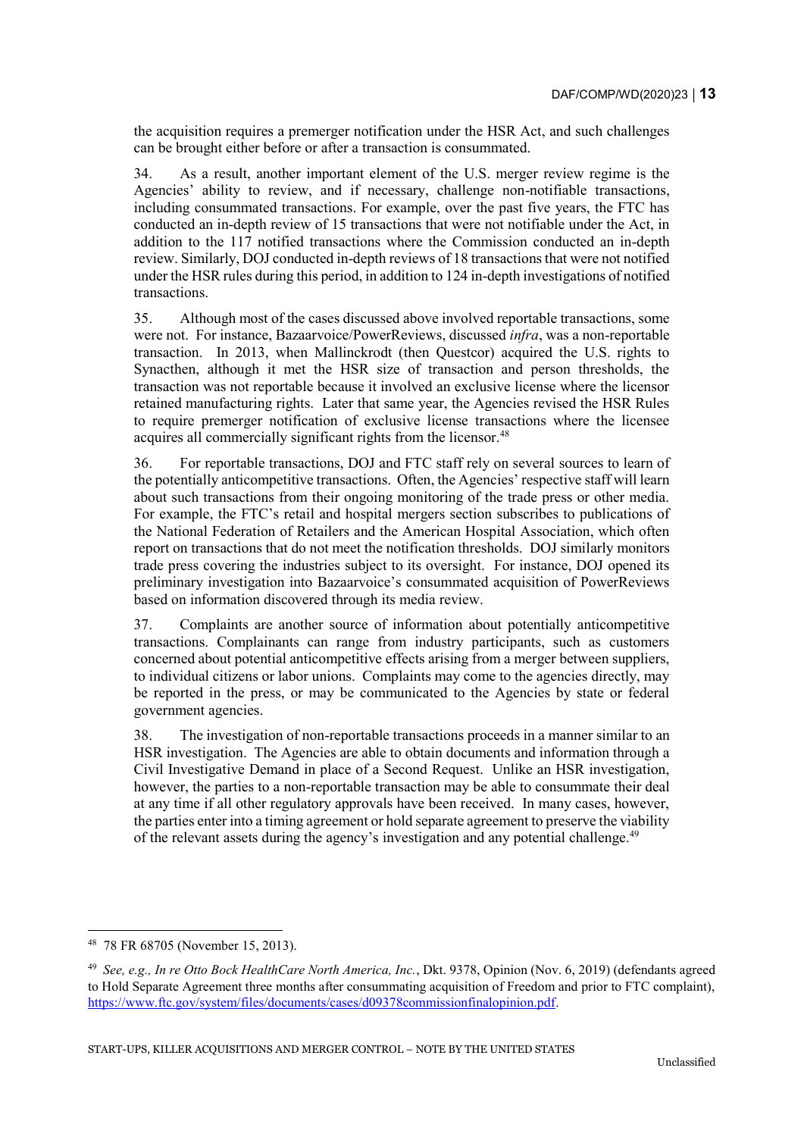the acquisition requires a premerger notification under the HSR Act, and such challenges can be brought either before or after a transaction is consummated.

34. As a result, another important element of the U.S. merger review regime is the Agencies' ability to review, and if necessary, challenge non-notifiable transactions, including consummated transactions. For example, over the past five years, the FTC has conducted an in-depth review of 15 transactions that were not notifiable under the Act, in addition to the 117 notified transactions where the Commission conducted an in-depth review. Similarly, DOJ conducted in-depth reviews of 18 transactions that were not notified under the HSR rules during this period, in addition to 124 in-depth investigations of notified transactions.

35. Although most of the cases discussed above involved reportable transactions, some were not. For instance, Bazaarvoice/PowerReviews, discussed *infra*, was a non-reportable transaction. In 2013, when Mallinckrodt (then Questcor) acquired the U.S. rights to Synacthen, although it met the HSR size of transaction and person thresholds, the transaction was not reportable because it involved an exclusive license where the licensor retained manufacturing rights. Later that same year, the Agencies revised the HSR Rules to require premerger notification of exclusive license transactions where the licensee acquires all commercially significant rights from the licensor.<sup>48</sup>

36. For reportable transactions, DOJ and FTC staff rely on several sources to learn of the potentially anticompetitive transactions. Often, the Agencies' respective staff will learn about such transactions from their ongoing monitoring of the trade press or other media. For example, the FTC's retail and hospital mergers section subscribes to publications of the National Federation of Retailers and the American Hospital Association, which often report on transactions that do not meet the notification thresholds. DOJ similarly monitors trade press covering the industries subject to its oversight. For instance, DOJ opened its preliminary investigation into Bazaarvoice's consummated acquisition of PowerReviews based on information discovered through its media review.

37. Complaints are another source of information about potentially anticompetitive transactions. Complainants can range from industry participants, such as customers concerned about potential anticompetitive effects arising from a merger between suppliers, to individual citizens or labor unions. Complaints may come to the agencies directly, may be reported in the press, or may be communicated to the Agencies by state or federal government agencies.

38. The investigation of non-reportable transactions proceeds in a manner similar to an HSR investigation. The Agencies are able to obtain documents and information through a Civil Investigative Demand in place of a Second Request. Unlike an HSR investigation, however, the parties to a non-reportable transaction may be able to consummate their deal at any time if all other regulatory approvals have been received. In many cases, however, the parties enter into a timing agreement or hold separate agreement to preserve the viability of the relevant assets during the agency's investigation and any potential challenge.<sup>49</sup>

<sup>48</sup> 78 FR 68705 (November 15, 2013).

<sup>49</sup> *See, e.g., In re Otto Bock HealthCare North America, Inc.*, Dkt. 9378, Opinion (Nov. 6, 2019) (defendants agreed to Hold Separate Agreement three months after consummating acquisition of Freedom and prior to FTC complaint), [https://www.ftc.gov/system/files/documents/cases/d09378commissionfinalopinion.pdf.](https://www.ftc.gov/system/files/documents/cases/d09378commissionfinalopinion.pdf)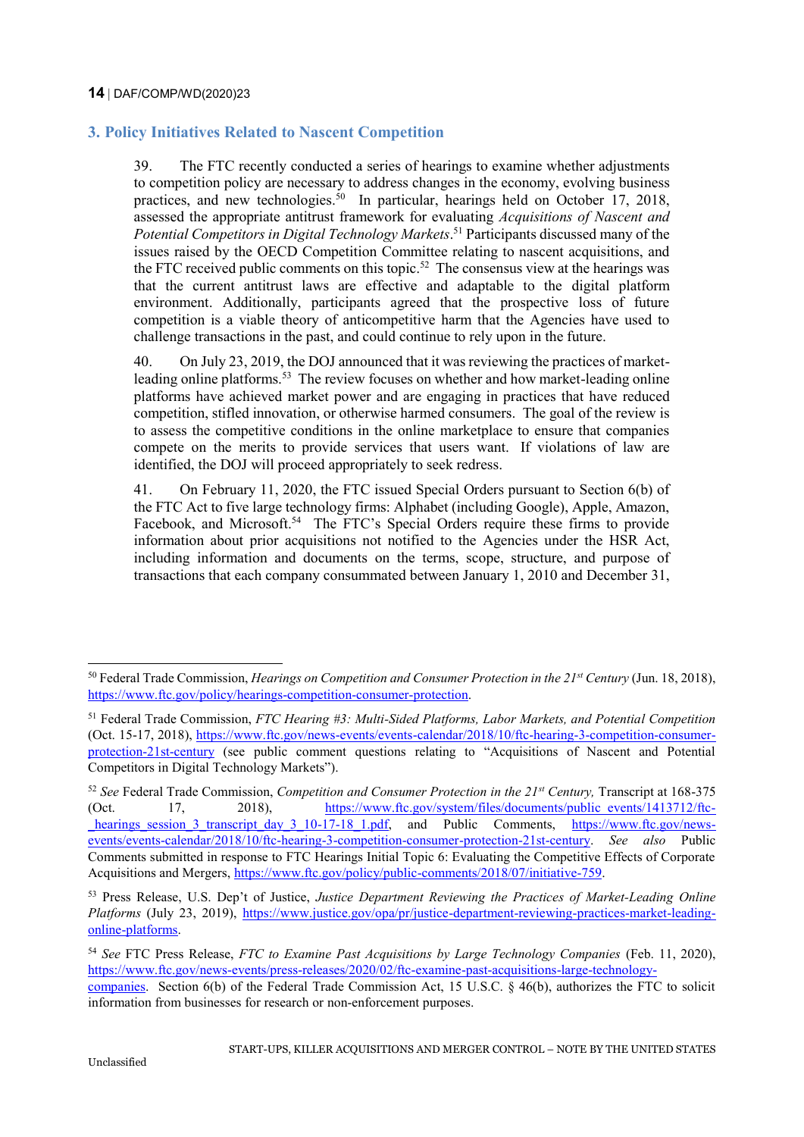# **3. Policy Initiatives Related to Nascent Competition**

39. The FTC recently conducted a series of hearings to examine whether adjustments to competition policy are necessary to address changes in the economy, evolving business practices, and new technologies.<sup>50</sup> In particular, hearings held on October 17, 2018, assessed the appropriate antitrust framework for evaluating *Acquisitions of Nascent and Potential Competitors in Digital Technology Markets*. <sup>51</sup> Participants discussed many of the issues raised by the OECD Competition Committee relating to nascent acquisitions, and the FTC received public comments on this topic.<sup>52</sup> The consensus view at the hearings was that the current antitrust laws are effective and adaptable to the digital platform environment. Additionally, participants agreed that the prospective loss of future competition is a viable theory of anticompetitive harm that the Agencies have used to challenge transactions in the past, and could continue to rely upon in the future.

40. On July 23, 2019, the DOJ announced that it was reviewing the practices of marketleading online platforms.<sup>53</sup> The review focuses on whether and how market-leading online platforms have achieved market power and are engaging in practices that have reduced competition, stifled innovation, or otherwise harmed consumers. The goal of the review is to assess the competitive conditions in the online marketplace to ensure that companies compete on the merits to provide services that users want. If violations of law are identified, the DOJ will proceed appropriately to seek redress.

41. On February 11, 2020, the FTC issued Special Orders pursuant to Section 6(b) of the FTC Act to five large technology firms: Alphabet (including Google), Apple, Amazon, Facebook, and Microsoft.<sup>54</sup> The FTC's Special Orders require these firms to provide information about prior acquisitions not notified to the Agencies under the HSR Act, including information and documents on the terms, scope, structure, and purpose of transactions that each company consummated between January 1, 2010 and December 31,

<sup>50</sup> Federal Trade Commission, *Hearings on Competition and Consumer Protection in the 21st Century* (Jun. 18, 2018), [https://www.ftc.gov/policy/hearings-competition-consumer-protection.](https://www.ftc.gov/policy/hearings-competition-consumer-protection)

<sup>51</sup> Federal Trade Commission, *FTC Hearing #3: Multi-Sided Platforms, Labor Markets, and Potential Competition* (Oct. 15-17, 2018), [https://www.ftc.gov/news-events/events-calendar/2018/10/ftc-hearing-3-competition-consumer](https://www.ftc.gov/news-events/events-calendar/2018/10/ftc-hearing-3-competition-consumer-protection-21st-century)[protection-21st-century](https://www.ftc.gov/news-events/events-calendar/2018/10/ftc-hearing-3-competition-consumer-protection-21st-century) (see public comment questions relating to "Acquisitions of Nascent and Potential Competitors in Digital Technology Markets").

<sup>52</sup> *See* Federal Trade Commission, *Competition and Consumer Protection in the 21st Century,* Transcript at 168-375 (Oct. 17, 2018), [https://www.ftc.gov/system/files/documents/public\\_events/1413712/ftc](https://www.ftc.gov/system/files/documents/public_events/1413712/ftc_hearings_session_3_transcript_day_3_10-17-18_1.pdf) hearings session 3 transcript day 3 10-17-18 1.pdf, and Public Comments, [https://www.ftc.gov/news](https://www.ftc.gov/news-events/events-calendar/2018/10/ftc-hearing-3-competition-consumer-protection-21st-century)[events/events-calendar/2018/10/ftc-hearing-3-competition-consumer-protection-21st-century.](https://www.ftc.gov/news-events/events-calendar/2018/10/ftc-hearing-3-competition-consumer-protection-21st-century) *See also* Public Comments submitted in response to FTC Hearings Initial Topic 6: Evaluating the Competitive Effects of Corporate Acquisitions and Mergers, [https://www.ftc.gov/policy/public-comments/2018/07/initiative-759.](https://www.ftc.gov/policy/public-comments/2018/07/initiative-759)

<sup>53</sup> Press Release, U.S. Dep't of Justice, *Justice Department Reviewing the Practices of Market-Leading Online Platforms* (July 23, 2019), [https://www.justice.gov/opa/pr/justice-department-reviewing-practices-market-leading](https://www.justice.gov/opa/pr/justice-department-reviewing-practices-market-leading-online-platforms)[online-platforms.](https://www.justice.gov/opa/pr/justice-department-reviewing-practices-market-leading-online-platforms)

<sup>54</sup> *See* FTC Press Release, *FTC to Examine Past Acquisitions by Large Technology Companies* (Feb. 11, 2020), [https://www.ftc.gov/news-events/press-releases/2020/02/ftc-examine-past-acquisitions-large-technology-](https://www.ftc.gov/news-events/press-releases/2020/02/ftc-examine-past-acquisitions-large-technology-companies)

[companies.](https://www.ftc.gov/news-events/press-releases/2020/02/ftc-examine-past-acquisitions-large-technology-companies) Section 6(b) of the Federal Trade Commission Act, 15 U.S.C. § 46(b), authorizes the FTC to solicit information from businesses for research or non-enforcement purposes.